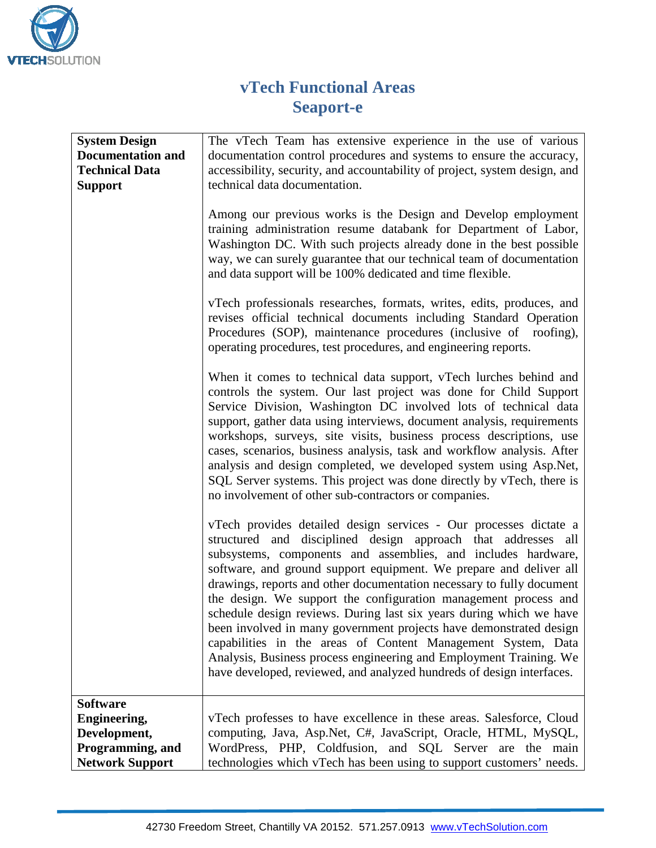

## **vTech Functional Areas Seaport-e**

| <b>System Design</b><br><b>Documentation and</b> | The vTech Team has extensive experience in the use of various<br>documentation control procedures and systems to ensure the accuracy,                                                                                                                                                                                                                                                                                                                                                                                                                                                                                                                                                                                                                                                                                                                                                                                                                                                                                                                                                                                                                                                                                                                                                                               |
|--------------------------------------------------|---------------------------------------------------------------------------------------------------------------------------------------------------------------------------------------------------------------------------------------------------------------------------------------------------------------------------------------------------------------------------------------------------------------------------------------------------------------------------------------------------------------------------------------------------------------------------------------------------------------------------------------------------------------------------------------------------------------------------------------------------------------------------------------------------------------------------------------------------------------------------------------------------------------------------------------------------------------------------------------------------------------------------------------------------------------------------------------------------------------------------------------------------------------------------------------------------------------------------------------------------------------------------------------------------------------------|
| <b>Technical Data</b>                            | accessibility, security, and accountability of project, system design, and                                                                                                                                                                                                                                                                                                                                                                                                                                                                                                                                                                                                                                                                                                                                                                                                                                                                                                                                                                                                                                                                                                                                                                                                                                          |
|                                                  |                                                                                                                                                                                                                                                                                                                                                                                                                                                                                                                                                                                                                                                                                                                                                                                                                                                                                                                                                                                                                                                                                                                                                                                                                                                                                                                     |
| <b>Support</b>                                   | technical data documentation.<br>Among our previous works is the Design and Develop employment<br>training administration resume databank for Department of Labor,<br>Washington DC. With such projects already done in the best possible<br>way, we can surely guarantee that our technical team of documentation<br>and data support will be 100% dedicated and time flexible.<br>vTech professionals researches, formats, writes, edits, produces, and<br>revises official technical documents including Standard Operation<br>Procedures (SOP), maintenance procedures (inclusive of roofing),<br>operating procedures, test procedures, and engineering reports.<br>When it comes to technical data support, vTech lurches behind and<br>controls the system. Our last project was done for Child Support<br>Service Division, Washington DC involved lots of technical data<br>support, gather data using interviews, document analysis, requirements<br>workshops, surveys, site visits, business process descriptions, use<br>cases, scenarios, business analysis, task and workflow analysis. After<br>analysis and design completed, we developed system using Asp.Net,<br>SQL Server systems. This project was done directly by vTech, there is<br>no involvement of other sub-contractors or companies. |
|                                                  | vTech provides detailed design services - Our processes dictate a<br>structured and disciplined design approach that addresses all<br>subsystems, components and assemblies, and includes hardware,<br>software, and ground support equipment. We prepare and deliver all<br>drawings, reports and other documentation necessary to fully document<br>the design. We support the configuration management process and<br>schedule design reviews. During last six years during which we have<br>been involved in many government projects have demonstrated design<br>capabilities in the areas of Content Management System, Data<br>Analysis, Business process engineering and Employment Training. We<br>have developed, reviewed, and analyzed hundreds of design interfaces.                                                                                                                                                                                                                                                                                                                                                                                                                                                                                                                                   |
| <b>Software</b>                                  |                                                                                                                                                                                                                                                                                                                                                                                                                                                                                                                                                                                                                                                                                                                                                                                                                                                                                                                                                                                                                                                                                                                                                                                                                                                                                                                     |
| <b>Engineering,</b>                              | vTech professes to have excellence in these areas. Salesforce, Cloud                                                                                                                                                                                                                                                                                                                                                                                                                                                                                                                                                                                                                                                                                                                                                                                                                                                                                                                                                                                                                                                                                                                                                                                                                                                |
| Development,                                     | computing, Java, Asp.Net, C#, JavaScript, Oracle, HTML, MySQL,                                                                                                                                                                                                                                                                                                                                                                                                                                                                                                                                                                                                                                                                                                                                                                                                                                                                                                                                                                                                                                                                                                                                                                                                                                                      |
| Programming, and                                 | WordPress, PHP, Coldfusion, and SQL Server are the main                                                                                                                                                                                                                                                                                                                                                                                                                                                                                                                                                                                                                                                                                                                                                                                                                                                                                                                                                                                                                                                                                                                                                                                                                                                             |
| <b>Network Support</b>                           | technologies which vTech has been using to support customers' needs.                                                                                                                                                                                                                                                                                                                                                                                                                                                                                                                                                                                                                                                                                                                                                                                                                                                                                                                                                                                                                                                                                                                                                                                                                                                |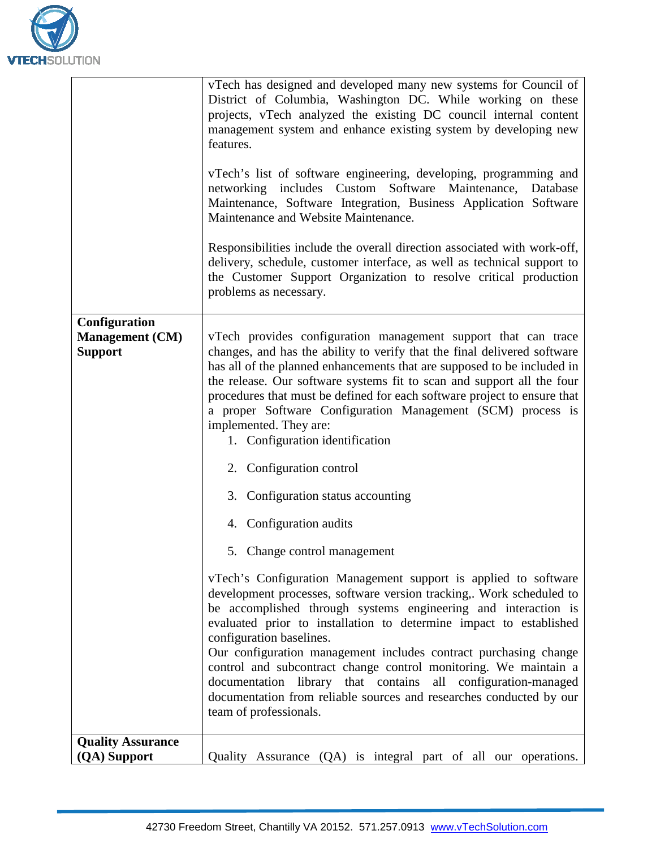

|                                                           | vTech has designed and developed many new systems for Council of<br>District of Columbia, Washington DC. While working on these<br>projects, vTech analyzed the existing DC council internal content<br>management system and enhance existing system by developing new<br>features.                                                                                                                                                                                                                    |
|-----------------------------------------------------------|---------------------------------------------------------------------------------------------------------------------------------------------------------------------------------------------------------------------------------------------------------------------------------------------------------------------------------------------------------------------------------------------------------------------------------------------------------------------------------------------------------|
|                                                           | vTech's list of software engineering, developing, programming and<br>networking includes Custom Software Maintenance, Database<br>Maintenance, Software Integration, Business Application Software<br>Maintenance and Website Maintenance.                                                                                                                                                                                                                                                              |
|                                                           | Responsibilities include the overall direction associated with work-off,<br>delivery, schedule, customer interface, as well as technical support to<br>the Customer Support Organization to resolve critical production<br>problems as necessary.                                                                                                                                                                                                                                                       |
| Configuration<br><b>Management (CM)</b><br><b>Support</b> | vTech provides configuration management support that can trace<br>changes, and has the ability to verify that the final delivered software<br>has all of the planned enhancements that are supposed to be included in<br>the release. Our software systems fit to scan and support all the four<br>procedures that must be defined for each software project to ensure that<br>a proper Software Configuration Management (SCM) process is<br>implemented. They are:<br>1. Configuration identification |
|                                                           | 2. Configuration control                                                                                                                                                                                                                                                                                                                                                                                                                                                                                |
|                                                           | 3. Configuration status accounting                                                                                                                                                                                                                                                                                                                                                                                                                                                                      |
|                                                           | 4. Configuration audits                                                                                                                                                                                                                                                                                                                                                                                                                                                                                 |
|                                                           | 5. Change control management                                                                                                                                                                                                                                                                                                                                                                                                                                                                            |
|                                                           | vTech's Configuration Management support is applied to software<br>development processes, software version tracking,. Work scheduled to<br>be accomplished through systems engineering and interaction is<br>evaluated prior to installation to determine impact to established<br>configuration baselines.                                                                                                                                                                                             |
|                                                           | Our configuration management includes contract purchasing change<br>control and subcontract change control monitoring. We maintain a<br>documentation library that contains all configuration-managed<br>documentation from reliable sources and researches conducted by our<br>team of professionals.                                                                                                                                                                                                  |
| <b>Quality Assurance</b>                                  |                                                                                                                                                                                                                                                                                                                                                                                                                                                                                                         |
| (QA) Support                                              | Quality Assurance (QA) is integral part of all our operations.                                                                                                                                                                                                                                                                                                                                                                                                                                          |